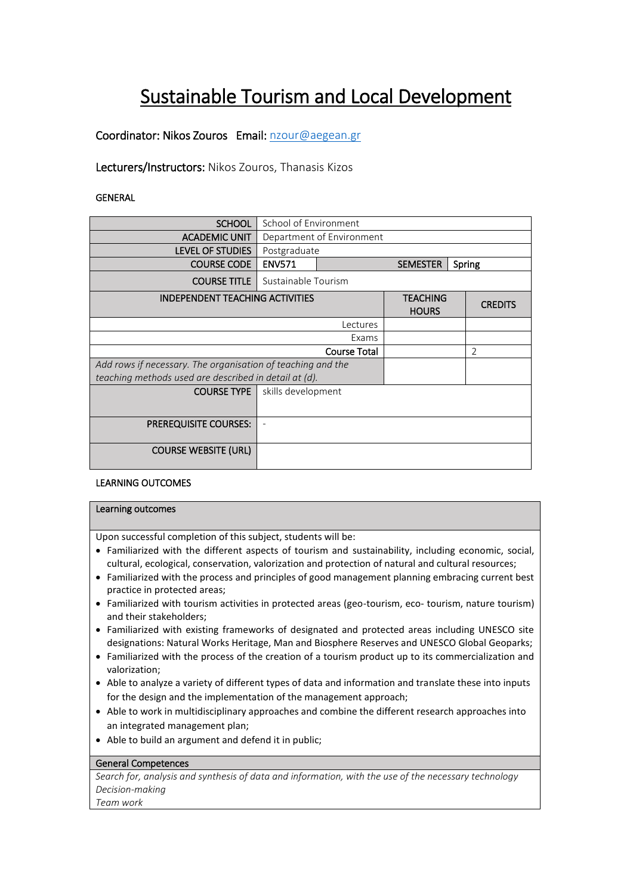# Sustainable Tourism and Local Development

Coordinator: Nikos Zouros Email: nzour@aegean.gr

Lecturers/Instructors: Nikos Zouros, Thanasis Kizos

GENERAL

| <b>SCHOOL</b>                                               | School of Environment     |                                 |  |                |                |
|-------------------------------------------------------------|---------------------------|---------------------------------|--|----------------|----------------|
| <b>ACADEMIC UNIT</b>                                        | Department of Environment |                                 |  |                |                |
| <b>LEVEL OF STUDIES</b>                                     | Postgraduate              |                                 |  |                |                |
| <b>COURSE CODE</b>                                          | <b>ENV571</b>             | <b>SEMESTER</b><br>Spring       |  |                |                |
| <b>COURSE TITLE</b>                                         | Sustainable Tourism       |                                 |  |                |                |
| <b>INDEPENDENT TEACHING ACTIVITIES</b>                      |                           | <b>TEACHING</b><br><b>HOURS</b> |  | <b>CREDITS</b> |                |
|                                                             | Lectures                  |                                 |  |                |                |
| Exams                                                       |                           |                                 |  |                |                |
| <b>Course Total</b>                                         |                           |                                 |  |                | $\overline{2}$ |
| Add rows if necessary. The organisation of teaching and the |                           |                                 |  |                |                |
| teaching methods used are described in detail at (d).       |                           |                                 |  |                |                |
| <b>COURSE TYPE</b>                                          | skills development        |                                 |  |                |                |
| <b>PREREQUISITE COURSES:</b>                                |                           |                                 |  |                |                |
| <b>COURSE WEBSITE (URL)</b>                                 |                           |                                 |  |                |                |

#### LEARNING OUTCOMES

#### Learning outcomes

Upon successful completion of this subject, students will be:

- Familiarized with the different aspects of tourism and sustainability, including economic, social, cultural, ecological, conservation, valorization and protection of natural and cultural resources;
- Familiarized with the process and principles of good management planning embracing current best practice in protected areas;
- Familiarized with tourism activities in protected areas (geo-tourism, eco- tourism, nature tourism) and their stakeholders;
- Familiarized with existing frameworks of designated and protected areas including UNESCO site designations: Natural Works Heritage, Man and Biosphere Reserves and UNESCO Global Geoparks;
- Familiarized with the process of the creation of a tourism product up to its commercialization and valorization;
- Able to analyze a variety of different types of data and information and translate these into inputs for the design and the implementation of the management approach;
- Able to work in multidisciplinary approaches and combine the different research approaches into an integrated management plan;
- Able to build an argument and defend it in public;

#### General Competences

*Search for, analysis and synthesis of data and information, with the use of the necessary technology Decision-making* 

*Team work*